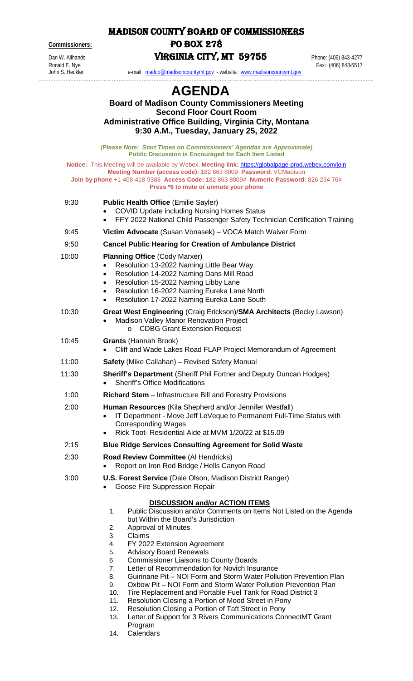MADISON COUNTY BOARD OF COMMISSIONERS **Commissioners:** PO BOX 278

Dan W. Allhands<br> **VIRGINIA CITY, MT 59755** Phone: (406) 843-4277<br>
Fax: (406) 843-5517

Ronald E. Nye Fax: (406) 843-5517

John S. Heckler e-mail: [madco@madisoncountymt.gov](mailto:madco@madisoncountymt.gov) - website: [www.madisoncountymt.gov](http://www.madisoncountymt.gov/)

## …………………………………………………………………………………………………………………………………………………………………………………. **AGENDA**

|       | <b>Board of Madison County Commissioners Meeting</b><br><b>Second Floor Court Room</b><br><b>Administrative Office Building, Virginia City, Montana</b><br>9:30 A.M., Tuesday, January 25, 2022                                                                                                                                                                                                                                                                                                                                                                                                                                                                                                                                                                                                                                                               |
|-------|---------------------------------------------------------------------------------------------------------------------------------------------------------------------------------------------------------------------------------------------------------------------------------------------------------------------------------------------------------------------------------------------------------------------------------------------------------------------------------------------------------------------------------------------------------------------------------------------------------------------------------------------------------------------------------------------------------------------------------------------------------------------------------------------------------------------------------------------------------------|
|       | (Please Note: Start Times on Commissioners' Agendas are Approximate)<br><b>Public Discussion is Encouraged for Each Item Listed</b>                                                                                                                                                                                                                                                                                                                                                                                                                                                                                                                                                                                                                                                                                                                           |
|       | Notice: This Meeting will be available by Webex. Meeting link: https://globalpage-prod.webex.com/join<br>Meeting Number (access code): 182 863 8009 Password: VCMadison<br>Join by phone +1-408-418-9388 Access Code: 182 863 8009# Numeric Password: 826 234 76#<br>Press *6 to mute or unmute your phone                                                                                                                                                                                                                                                                                                                                                                                                                                                                                                                                                    |
| 9:30  | <b>Public Health Office (Emilie Sayler)</b><br><b>COVID Update including Nursing Homes Status</b><br>FFY 2022 National Child Passenger Safety Technician Certification Training<br>$\bullet$                                                                                                                                                                                                                                                                                                                                                                                                                                                                                                                                                                                                                                                                  |
| 9:45  | Victim Advocate (Susan Vonasek) - VOCA Match Waiver Form                                                                                                                                                                                                                                                                                                                                                                                                                                                                                                                                                                                                                                                                                                                                                                                                      |
| 9:50  | <b>Cancel Public Hearing for Creation of Ambulance District</b>                                                                                                                                                                                                                                                                                                                                                                                                                                                                                                                                                                                                                                                                                                                                                                                               |
| 10:00 | <b>Planning Office (Cody Marxer)</b><br>Resolution 13-2022 Naming Little Bear Way<br>$\bullet$<br>Resolution 14-2022 Naming Dans Mill Road<br>$\bullet$<br>Resolution 15-2022 Naming Libby Lane<br>$\bullet$<br>Resolution 16-2022 Naming Eureka Lane North<br>$\bullet$<br>Resolution 17-2022 Naming Eureka Lane South<br>$\bullet$                                                                                                                                                                                                                                                                                                                                                                                                                                                                                                                          |
| 10:30 | Great West Engineering (Craig Erickson)/SMA Architects (Becky Lawson)<br><b>Madison Valley Manor Renovation Project</b><br>$\bullet$<br><b>CDBG Grant Extension Request</b><br>$\circ$                                                                                                                                                                                                                                                                                                                                                                                                                                                                                                                                                                                                                                                                        |
| 10:45 | <b>Grants (Hannah Brook)</b><br>Cliff and Wade Lakes Road FLAP Project Memorandum of Agreement                                                                                                                                                                                                                                                                                                                                                                                                                                                                                                                                                                                                                                                                                                                                                                |
| 11:00 | <b>Safety</b> (Mike Callahan) - Revised Safety Manual                                                                                                                                                                                                                                                                                                                                                                                                                                                                                                                                                                                                                                                                                                                                                                                                         |
| 11:30 | <b>Sheriff's Department (Sheriff Phil Fortner and Deputy Duncan Hodges)</b><br><b>Sheriff's Office Modifications</b>                                                                                                                                                                                                                                                                                                                                                                                                                                                                                                                                                                                                                                                                                                                                          |
| 1:00  | <b>Richard Stem</b> – Infrastructure Bill and Forestry Provisions                                                                                                                                                                                                                                                                                                                                                                                                                                                                                                                                                                                                                                                                                                                                                                                             |
| 2:00  | Human Resources (Kila Shepherd and/or Jennifer Westfall)<br>IT Department - Move Jeff LeVeque to Permanent Full-Time Status with<br>$\bullet$<br><b>Corresponding Wages</b><br>Rick Toot- Residential Aide at MVM 1/20/22 at \$15.09<br>$\bullet$                                                                                                                                                                                                                                                                                                                                                                                                                                                                                                                                                                                                             |
| 2:15  | <b>Blue Ridge Services Consulting Agreement for Solid Waste</b>                                                                                                                                                                                                                                                                                                                                                                                                                                                                                                                                                                                                                                                                                                                                                                                               |
| 2:30  | Road Review Committee (Al Hendricks)<br>Report on Iron Rod Bridge / Hells Canyon Road                                                                                                                                                                                                                                                                                                                                                                                                                                                                                                                                                                                                                                                                                                                                                                         |
| 3:00  | <b>U.S. Forest Service (Dale Olson, Madison District Ranger)</b><br>Goose Fire Suppression Repair                                                                                                                                                                                                                                                                                                                                                                                                                                                                                                                                                                                                                                                                                                                                                             |
|       | <b>DISCUSSION and/or ACTION ITEMS</b><br>Public Discussion and/or Comments on Items Not Listed on the Agenda<br>1.<br>but Within the Board's Jurisdiction<br>Approval of Minutes<br>2.<br>3.<br>Claims<br>FY 2022 Extension Agreement<br>4.<br>5.<br><b>Advisory Board Renewals</b><br>6.<br><b>Commissioner Liaisons to County Boards</b><br>7.<br>Letter of Recommendation for Novich Insurance<br>8.<br>Guinnane Pit – NOI Form and Storm Water Pollution Prevention Plan<br>9.<br>Oxbow Pit – NOI Form and Storm Water Pollution Prevention Plan<br>10.<br>Tire Replacement and Portable Fuel Tank for Road District 3<br>11.<br>Resolution Closing a Portion of Mood Street in Pony<br>12.<br>Resolution Closing a Portion of Taft Street in Pony<br>Letter of Support for 3 Rivers Communications ConnectMT Grant<br>13.<br>Program<br>Calendars<br>14. |